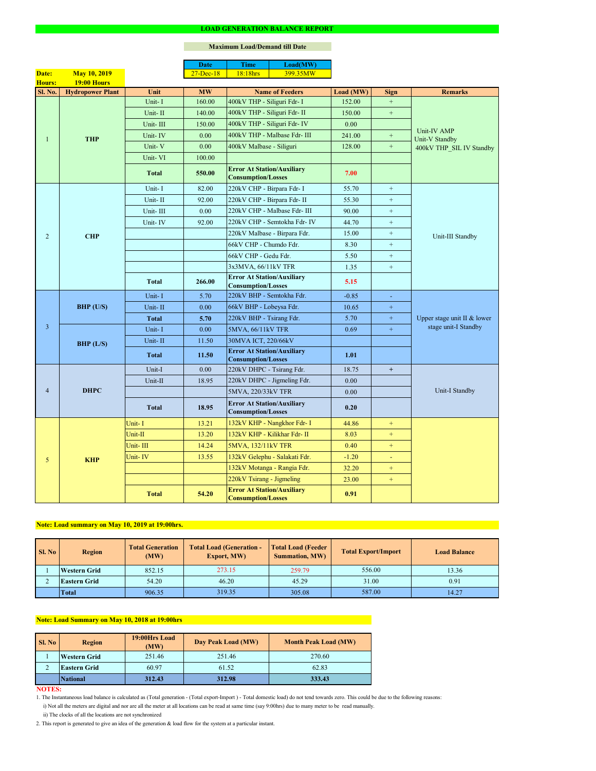### **NOTES:**

|                |                         |              | <b>Date</b>   | <b>Time</b>                                                    | Load(MW)                           |           |                  |                                                     |  |
|----------------|-------------------------|--------------|---------------|----------------------------------------------------------------|------------------------------------|-----------|------------------|-----------------------------------------------------|--|
| Date:          | <b>May 10, 2019</b>     |              | $27 - Dec-18$ | 18:18hrs                                                       | 399.35MW                           |           |                  |                                                     |  |
| Hours:         | 19:00 Hours             |              |               |                                                                |                                    |           |                  |                                                     |  |
| <b>Sl. No.</b> | <b>Hydropower Plant</b> | Unit         | <b>MW</b>     |                                                                | <b>Name of Feeders</b>             | Load (MW) | <b>Sign</b>      | <b>Remarks</b>                                      |  |
|                |                         | Unit-I       | 160.00        | 400kV THP - Siliguri Fdr- I                                    |                                    | 152.00    | $\pm$            |                                                     |  |
|                |                         | Unit-II      | 140.00        | 400kV THP - Siliguri Fdr- II                                   |                                    | 150.00    | $\pm$            |                                                     |  |
|                |                         | Unit-III     | 150.00        |                                                                | 400kV THP - Siliguri Fdr- IV       | 0.00      |                  | Unit-IV AMP                                         |  |
| $\mathbf{1}$   | <b>THP</b>              | Unit-IV      | 0.00          |                                                                | 400kV THP - Malbase Fdr- III       | 241.00    | $\boldsymbol{+}$ | <b>Unit-V Standby</b>                               |  |
|                |                         | Unit-V       | 0.00          |                                                                | 400kV Malbase - Siliguri<br>128.00 |           | $\pm$            | 400kV THP SIL IV Standby                            |  |
|                |                         | Unit-VI      | 100.00        |                                                                |                                    |           |                  |                                                     |  |
|                |                         | <b>Total</b> | 550.00        | <b>Error At Station/Auxiliary</b><br><b>Consumption/Losses</b> |                                    | 7.00      |                  |                                                     |  |
|                |                         | Unit-I       | 82.00         | 220kV CHP - Birpara Fdr- I                                     |                                    | 55.70     | $+$              |                                                     |  |
|                |                         | Unit-II      | 92.00         | 220kV CHP - Birpara Fdr- II                                    |                                    | 55.30     | $+$              |                                                     |  |
|                |                         | Unit-III     | 0.00          |                                                                | 220kV CHP - Malbase Fdr- III       | 90.00     | $+$              |                                                     |  |
|                |                         | Unit-IV      | 92.00         |                                                                | 220kV CHP - Semtokha Fdr- IV       | 44.70     | $+$              |                                                     |  |
| 2              | <b>CHP</b>              |              |               |                                                                | 220kV Malbase - Birpara Fdr.       | 15.00     | $+$              | Unit-III Standby                                    |  |
|                |                         |              |               | 66kV CHP - Chumdo Fdr.                                         |                                    | 8.30      | $+$              |                                                     |  |
|                |                         |              |               | 66kV CHP - Gedu Fdr.                                           |                                    | 5.50      | $+$              |                                                     |  |
|                |                         |              |               | 3x3MVA, 66/11kV TFR                                            |                                    | 1.35      | $+$              |                                                     |  |
|                |                         | <b>Total</b> | 266.00        | <b>Error At Station/Auxiliary</b><br><b>Consumption/Losses</b> |                                    | 5.15      |                  |                                                     |  |
|                | <b>BHP</b> (U/S)        | Unit-I       | 5.70          | 220kV BHP - Semtokha Fdr.                                      |                                    | $-0.85$   | $\blacksquare$   | Upper stage unit II & lower<br>stage unit-I Standby |  |
|                |                         | Unit-II      | 0.00          | 66kV BHP - Lobeysa Fdr.                                        |                                    | 10.65     | $\pm$            |                                                     |  |
|                |                         | <b>Total</b> | 5.70          | 220kV BHP - Tsirang Fdr.                                       |                                    | 5.70      | $+$              |                                                     |  |
| $\overline{3}$ |                         | Unit-I       | 0.00          | 5MVA, 66/11kV TFR                                              |                                    | 0.69      | $\pm$            |                                                     |  |
|                | BHP (L/S)               | Unit-II      | 11.50         | 30MVA ICT, 220/66kV                                            |                                    |           |                  |                                                     |  |
|                |                         |              |               | <b>Error At Station/Auxiliary</b>                              |                                    |           |                  |                                                     |  |
|                |                         | <b>Total</b> | 11.50         | <b>Consumption/Losses</b>                                      |                                    | 1.01      |                  |                                                     |  |
|                | <b>DHPC</b>             | Unit-I       | 0.00          | 220kV DHPC - Tsirang Fdr.                                      |                                    | 18.75     | $+$              |                                                     |  |
|                |                         | Unit-II      | 18.95         |                                                                | 220kV DHPC - Jigmeling Fdr.        | 0.00      |                  |                                                     |  |
| $\overline{4}$ |                         |              |               | 5MVA, 220/33kV TFR                                             |                                    | 0.00      |                  | Unit-I Standby                                      |  |
|                |                         | <b>Total</b> | 18.95         | <b>Error At Station/Auxiliary</b><br><b>Consumption/Losses</b> |                                    | 0.20      |                  |                                                     |  |
|                |                         | Unit-I       | 13.21         |                                                                | 132kV KHP - Nangkhor Fdr- I        | 44.86     | $+$              |                                                     |  |
|                |                         | Unit-II      | 13.20         |                                                                | 132kV KHP - Kilikhar Fdr- II       | 8.03      | $+$              |                                                     |  |
|                |                         | Unit-III     | 14.24         | 5MVA, 132/11kV TFR                                             |                                    | 0.40      | $+$              |                                                     |  |
| 5              | <b>KHP</b>              | Unit-IV      | 13.55         |                                                                | 132kV Gelephu - Salakati Fdr.      | $-1.20$   | $\blacksquare$   |                                                     |  |
|                |                         |              |               |                                                                | 132kV Motanga - Rangia Fdr.        | 32.20     | $+$              |                                                     |  |
|                |                         |              |               | 220kV Tsirang - Jigmeling                                      |                                    | 23.00     | $+$              |                                                     |  |
|                |                         | <b>Total</b> | 54.20         | <b>Error At Station/Auxiliary</b><br><b>Consumption/Losses</b> |                                    | 0.91      |                  |                                                     |  |

#### **LOAD GENERATION BALANCE REPORT**

| SI. No | <b>Total Generation</b><br><b>Region</b><br>(MW) |        | <b>Total Load (Generation -</b><br><b>Export, MW)</b> | <b>Total Load (Feeder)</b><br><b>Summation, MW)</b> | <b>Total Export/Import</b> | <b>Load Balance</b> |
|--------|--------------------------------------------------|--------|-------------------------------------------------------|-----------------------------------------------------|----------------------------|---------------------|
|        | <b>Western Grid</b>                              | 852.15 | 273.15                                                | 259.79                                              | 556.00                     | 13.36               |
|        | <b>Eastern Grid</b>                              | 54.20  | 46.20                                                 | 45.29                                               | 31.00                      | 0.91                |
|        | Total                                            | 906.35 | 319.35                                                | 305.08                                              | 587.00                     | 14.27               |

| Sl. No | <b>Region</b>       | 19:00Hrs Load<br>(MW) | Day Peak Load (MW) | <b>Month Peak Load (MW)</b> |
|--------|---------------------|-----------------------|--------------------|-----------------------------|
|        | <b>Western Grid</b> | 251.46                | 251.46             | 270.60                      |
| ∠      | <b>Eastern Grid</b> | 60.97                 | 61.52              | 62.83                       |
|        | <b>National</b>     | 312.43                | 312.98             | 333.43                      |

i) Not all the meters are digital and nor are all the meter at all locations can be read at same time (say 9:00hrs) due to many meter to be read manually.

# **Note: Load Summary on May 10, 2018 at 19:00hrs**

1. The Instantaneous load balance is calculated as (Total generation - (Total export-Import ) - Total domestic load) do not tend towards zero. This could be due to the following reasons:

# **Note: Load summary on May 10, 2019 at 19:00hrs.**

2. This report is generated to give an idea of the generation & load flow for the system at a particular instant.

### **Maximum Load/Demand till Date**

ii) The clocks of all the locations are not synchronized